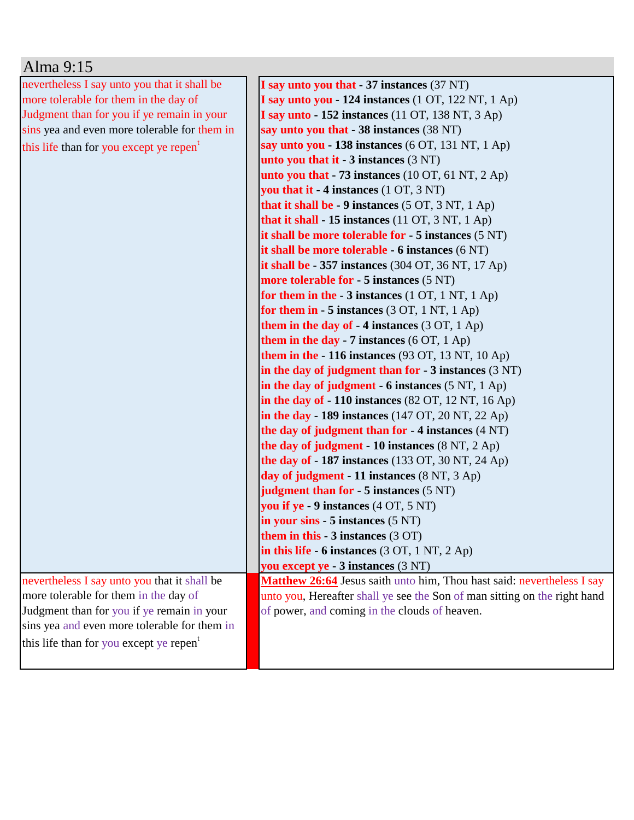| Alma 9:15                                           |                                                                             |
|-----------------------------------------------------|-----------------------------------------------------------------------------|
| nevertheless I say unto you that it shall be        | I say unto you that - 37 instances (37 NT)                                  |
| more tolerable for them in the day of               | I say unto you - 124 instances (1 OT, 122 NT, 1 Ap)                         |
| Judgment than for you if ye remain in your          | I say unto $-152$ instances (11 OT, 138 NT, 3 Ap)                           |
| sins yea and even more tolerable for them in        | say unto you that - 38 instances (38 NT)                                    |
| this life than for you except ye repen <sup>t</sup> | say unto you - 138 instances (6 OT, 131 NT, 1 Ap)                           |
|                                                     | unto you that it $-3$ instances $(3 \text{ NT})$                            |
|                                                     | unto you that $-73$ instances (10 OT, 61 NT, 2 Ap)                          |
|                                                     | you that it - 4 instances (1 OT, 3 NT)                                      |
|                                                     | that it shall be $-9$ instances $(5 OT, 3 NT, 1 Ap)$                        |
|                                                     | that it shall - 15 instances (11 OT, 3 NT, 1 Ap)                            |
|                                                     | it shall be more tolerable for $-5$ instances $(5 \text{ NT})$              |
|                                                     | it shall be more tolerable - 6 instances (6 NT)                             |
|                                                     | it shall be $-357$ instances (304 OT, 36 NT, 17 Ap)                         |
|                                                     | more tolerable for - 5 instances (5 NT)                                     |
|                                                     | for them in the $-3$ instances $(1 OT, 1 NT, 1 Ap)$                         |
|                                                     | for them in $-5$ instances (3 OT, 1 NT, 1 Ap)                               |
|                                                     | them in the day of $-4$ instances (3 OT, 1 Ap)                              |
|                                                     | them in the day - 7 instances $(6 OT, 1 Ap)$                                |
|                                                     | them in the - 116 instances (93 OT, 13 NT, 10 Ap)                           |
|                                                     | in the day of judgment than for $-3$ instances $(3 \text{ NT})$             |
|                                                     | in the day of judgment $-6$ instances $(5 \text{ NT}, 1 \text{ Ap})$        |
|                                                     | in the day of $-110$ instances (82 OT, 12 NT, 16 Ap)                        |
|                                                     | in the day - 189 instances $(147 \text{ OT}, 20 \text{ NT}, 22 \text{ Ap})$ |
|                                                     | the day of judgment than for - 4 instances (4 NT)                           |
|                                                     | the day of judgment - 10 instances $(8 NT, 2 Ap)$                           |
|                                                     | <b>the day of - 187 instances</b> (133 OT, 30 NT, 24 Ap)                    |
|                                                     | day of judgment - 11 instances (8 NT, 3 Ap)                                 |
|                                                     | judgment than for $-5$ instances $(5 \text{ NT})$                           |
|                                                     | you if ye - 9 instances (4 OT, 5 NT)                                        |
|                                                     | $\sin$ your sins - 5 instances (5 NT)                                       |
|                                                     | them in this $-3$ instances $(3 \text{ OT})$                                |
|                                                     | in this life - 6 instances $(3 OT, 1 NT, 2 Ap)$                             |
|                                                     | you except ye - 3 instances (3 NT)                                          |
| nevertheless I say unto you that it shall be        | Matthew 26:64 Jesus saith unto him, Thou hast said: nevertheless I say      |
| more tolerable for them in the day of               | unto you, Hereafter shall ye see the Son of man sitting on the right hand   |
| Judgment than for you if ye remain in your          | of power, and coming in the clouds of heaven.                               |
| sins yea and even more tolerable for them in        |                                                                             |
| this life than for you except ye repen <sup>t</sup> |                                                                             |
|                                                     |                                                                             |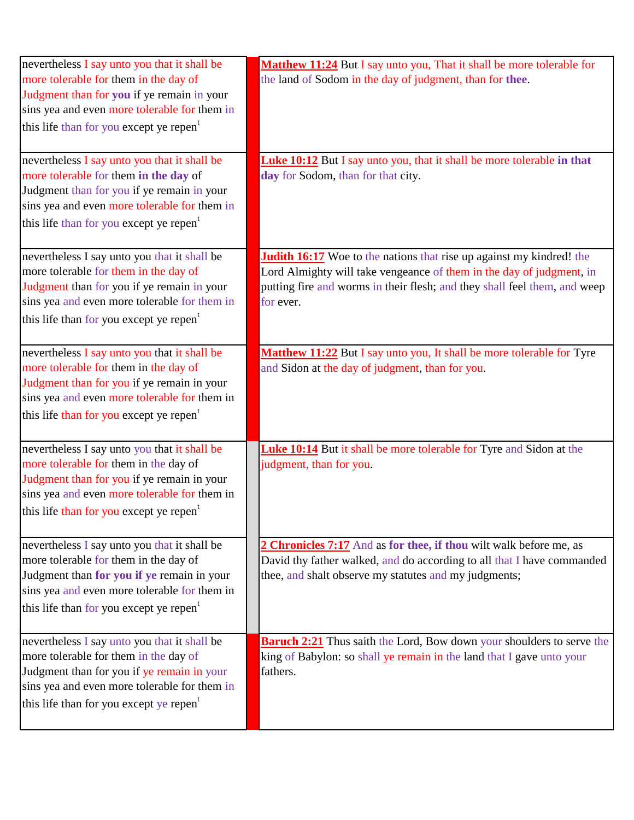| nevertheless I say unto you that it shall be<br>more tolerable for them in the day of<br>Judgment than for you if ye remain in your<br>sins yea and even more tolerable for them in<br>this life than for you except ye repen <sup>t</sup><br>nevertheless I say unto you that it shall be | Matthew 11:24 But I say unto you, That it shall be more tolerable for<br>the land of Sodom in the day of judgment, than for thee.<br><b>Luke 10:12</b> But I say unto you, that it shall be more tolerable in that                            |
|--------------------------------------------------------------------------------------------------------------------------------------------------------------------------------------------------------------------------------------------------------------------------------------------|-----------------------------------------------------------------------------------------------------------------------------------------------------------------------------------------------------------------------------------------------|
| more tolerable for them in the day of<br>Judgment than for you if ye remain in your<br>sins yea and even more tolerable for them in<br>this life than for you except ye repen <sup>t</sup>                                                                                                 | day for Sodom, than for that city.                                                                                                                                                                                                            |
| nevertheless I say unto you that it shall be<br>more tolerable for them in the day of<br>Judgment than for you if ye remain in your<br>sins yea and even more tolerable for them in<br>this life than for you except ye repen <sup>t</sup>                                                 | <b>Judith 16:17</b> Woe to the nations that rise up against my kindred! the<br>Lord Almighty will take vengeance of them in the day of judgment, in<br>putting fire and worms in their flesh; and they shall feel them, and weep<br>for ever. |
| nevertheless I say unto you that it shall be<br>more tolerable for them in the day of<br>Judgment than for you if ye remain in your<br>sins yea and even more tolerable for them in<br>this life than for you except ye repen <sup>t</sup>                                                 | Matthew 11:22 But I say unto you, It shall be more tolerable for Tyre<br>and Sidon at the day of judgment, than for you.                                                                                                                      |
| nevertheless I say unto you that it shall be<br>more tolerable for them in the day of<br>Judgment than for you if ye remain in your<br>sins yea and even more tolerable for them in<br>this life than for you except ye repen <sup>t</sup>                                                 | Luke 10:14 But it shall be more tolerable for Tyre and Sidon at the<br>judgment, than for you.                                                                                                                                                |
| nevertheless I say unto you that it shall be<br>more tolerable for them in the day of<br>Judgment than for you if ye remain in your<br>sins yea and even more tolerable for them in<br>this life than for you except ye repen <sup>t</sup>                                                 | 2 Chronicles 7:17 And as for thee, if thou wilt walk before me, as<br>David thy father walked, and do according to all that I have commanded<br>thee, and shalt observe my statutes and my judgments;                                         |
| nevertheless I say unto you that it shall be<br>more tolerable for them in the day of<br>Judgment than for you if ye remain in your<br>sins yea and even more tolerable for them in<br>this life than for you except ye repen <sup>t</sup>                                                 | <b>Baruch 2:21</b> Thus saith the Lord, Bow down your shoulders to serve the<br>king of Babylon: so shall ye remain in the land that I gave unto your<br>fathers.                                                                             |